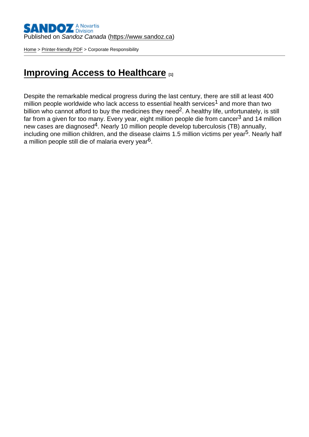[Home](https://www.sandoz.ca/en) > [Printer-friendly PDF](https://www.sandoz.ca/en/printpdf) > Corporate Responsibility

## [Improving Access to Healthcare](https://www.sandoz.ca/en/corporate-responsibility) [1]

Despite the remarkable medical progress during the last century, there are still at least 400 million people worldwide who lack access to essential health services<sup>1</sup> and more than two billion who cannot afford to buy the medicines they need<sup>2</sup>. A healthy life, unfortunately, is still far from a given for too many. Every year, eight million people die from cancer<sup>3</sup> and 14 million new cases are diagnosed<sup>4</sup>. Nearly 10 million people develop tuberculosis (TB) annually, including one million children, and the disease claims 1.5 million victims per year<sup>5</sup>. Nearly half a million people still die of malaria every year6.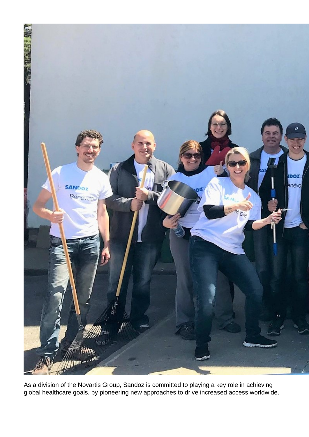

As a division of the Novartis Group, Sandoz is committed to playing a key role in achieving global healthcare goals, by pioneering new approaches to drive increased access worldwide.